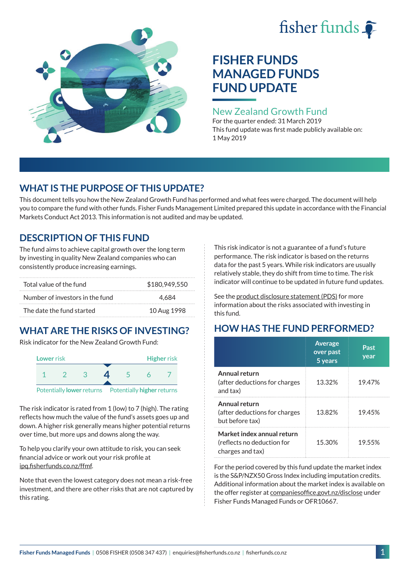# fisher funds  $\hat{\bullet}$



## **FISHER FUNDS MANAGED FUNDS FUND UPDATE**

## New Zealand Growth Fund

For the quarter ended: 31 March 2019 This fund update was first made publicly available on: 1 May 2019

## **WHAT IS THE PURPOSE OF THIS UPDATE?**

This document tells you how the New Zealand Growth Fund has performed and what fees were charged. The document will help you to compare the fund with other funds. Fisher Funds Management Limited prepared this update in accordance with the Financial Markets Conduct Act 2013. This information is not audited and may be updated.

## **DESCRIPTION OF THIS FUND**

The fund aims to achieve capital growth over the long term by investing in quality New Zealand companies who can consistently produce increasing earnings.

| Total value of the fund         | \$180,949,550 |
|---------------------------------|---------------|
| Number of investors in the fund | 4.684         |
| The date the fund started       | 10 Aug 1998   |

## **WHAT ARE THE RISKS OF INVESTING?**

Risk indicator for the New Zealand Growth Fund:



The risk indicator is rated from 1 (low) to 7 (high). The rating reflects how much the value of the fund's assets goes up and down. A higher risk generally means higher potential returns over time, but more ups and downs along the way.

To help you clarify your own attitude to risk, you can seek financial advice or work out your risk profile at [ipq.fisherfunds.co.nz/ffmf](https://ipq.fisherfunds.co.nz/ffmf).

Note that even the lowest category does not mean a risk-free investment, and there are other risks that are not captured by this rating.

This risk indicator is not a guarantee of a fund's future performance. The risk indicator is based on the returns data for the past 5 years. While risk indicators are usually relatively stable, they do shift from time to time. The risk indicator will continue to be updated in future fund updates.

See the [product disclosure statement \(PDS\)](https://fisherfunds.co.nz/assets/PDS/Fisher-Funds-Managed-Funds-PDS.pdf) for more information about the risks associated with investing in this fund.

## **HOW HAS THE FUND PERFORMED?**

|                                                                              | <b>Average</b><br>over past<br>5 years | Past<br>year |
|------------------------------------------------------------------------------|----------------------------------------|--------------|
| Annual return<br>(after deductions for charges<br>and tax)                   | 13.32%                                 | 19.47%       |
| Annual return<br>(after deductions for charges<br>but before tax)            | 13.82%                                 | 19.45%       |
| Market index annual return<br>(reflects no deduction for<br>charges and tax) | 15.30%                                 | 19.55%       |

For the period covered by this fund update the market index is the S&P/NZX50 Gross Index including imputation credits. Additional information about the market index is available on the offer register at [companiesoffice.govt.nz/disclose](http://companiesoffice.govt.nz/disclose) under Fisher Funds Managed Funds or OFR10667.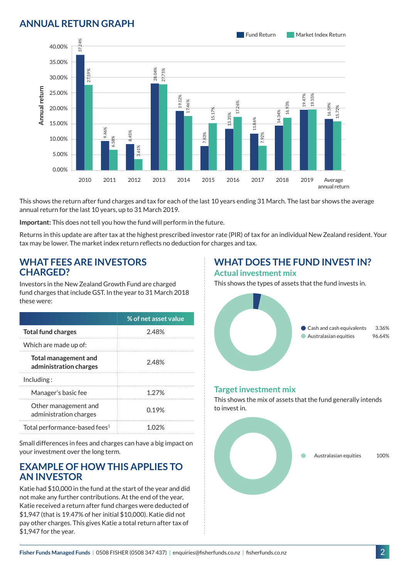## **ANNUAL RETURN GRAPH**



This shows the return after fund charges and tax for each of the last 10 years ending 31 March. The last bar shows the average annual return for the last 10 years, up to 31 March 2019.

**Important:** This does not tell you how the fund will perform in the future.

Returns in this update are after tax at the highest prescribed investor rate (PIR) of tax for an individual New Zealand resident. Your tax may be lower. The market index return reflects no deduction for charges and tax.

#### **WHAT FEES ARE INVESTORS CHARGED?**

Investors in the New Zealand Growth Fund are charged fund charges that include GST. In the year to 31 March 2018 these were:

|                                                       | % of net asset value |
|-------------------------------------------------------|----------------------|
| <b>Total fund charges</b>                             | 248%                 |
| Which are made up of:                                 |                      |
| <b>Total management and</b><br>administration charges | 2.48%                |
| Inding:                                               |                      |
| Manager's basic fee                                   | 1.27%                |
| Other management and<br>administration charges        | 0.19%                |
| Total performance-based fees <sup>1</sup>             |                      |

Small differences in fees and charges can have a big impact on your investment over the long term.

#### **EXAMPLE OF HOW THIS APPLIES TO AN INVESTOR**

Katie had \$10,000 in the fund at the start of the year and did not make any further contributions. At the end of the year, Katie received a return after fund charges were deducted of \$1,947 (that is 19.47% of her initial \$10,000). Katie did not pay other charges. This gives Katie a total return after tax of \$1,947 for the year.

#### **WHAT DOES THE FUND INVEST IN? Actual investment mix**

This shows the types of assets that the fund invests in.



#### **Target investment mix**

This shows the mix of assets that the fund generally intends to invest in.